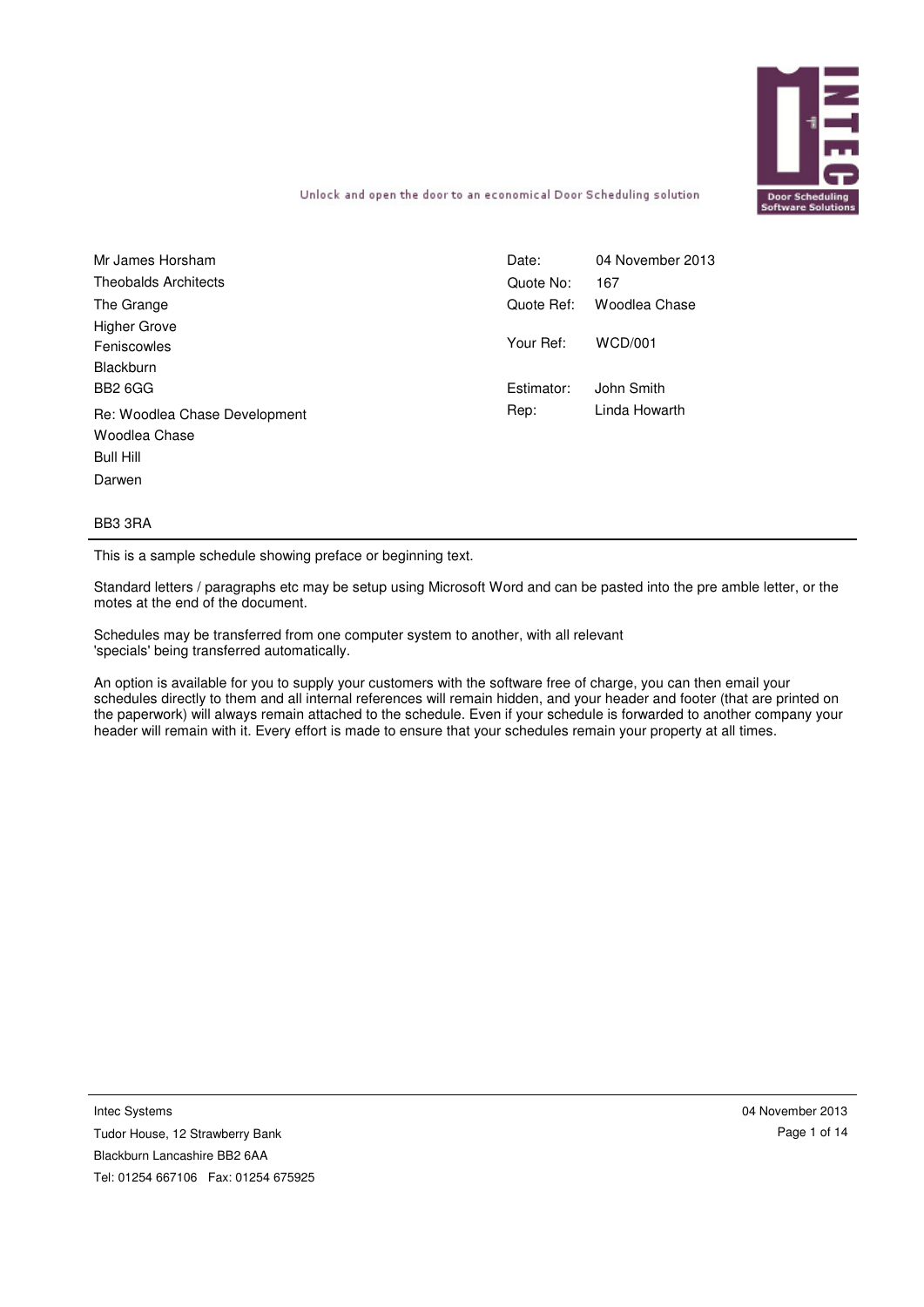

Unlock and open the door to an economical Door Scheduling solution

| Mr James Horsham              | Date:      | 04 November 2013 |
|-------------------------------|------------|------------------|
| <b>Theobalds Architects</b>   | Quote No:  | 167              |
| The Grange                    | Quote Ref: | Woodlea Chase    |
| <b>Higher Grove</b>           |            |                  |
| Feniscowles                   | Your Ref:  | <b>WCD/001</b>   |
| Blackburn                     |            |                  |
| <b>BB2 6GG</b>                | Estimator: | John Smith       |
| Re: Woodlea Chase Development | Rep:       | Linda Howarth    |
| Woodlea Chase                 |            |                  |
| Bull Hill                     |            |                  |
| Darwen                        |            |                  |

#### BB3 3RA

This is a sample schedule showing preface or beginning text.

Standard letters / paragraphs etc may be setup using Microsoft Word and can be pasted into the pre amble letter, or the motes at the end of the document.

Schedules may be transferred from one computer system to another, with all relevant 'specials' being transferred automatically.

An option is available for you to supply your customers with the software free of charge, you can then email your schedules directly to them and all internal references will remain hidden, and your header and footer (that are printed on the paperwork) will always remain attached to the schedule. Even if your schedule is forwarded to another company your header will remain with it. Every effort is made to ensure that your schedules remain your property at all times.

Intec Systems

Tudor House, 12 Strawberry Bank Blackburn Lancashire BB2 6AA Tel: 01254 667106 Fax: 01254 675925 04 November 2013 Page 1 of 14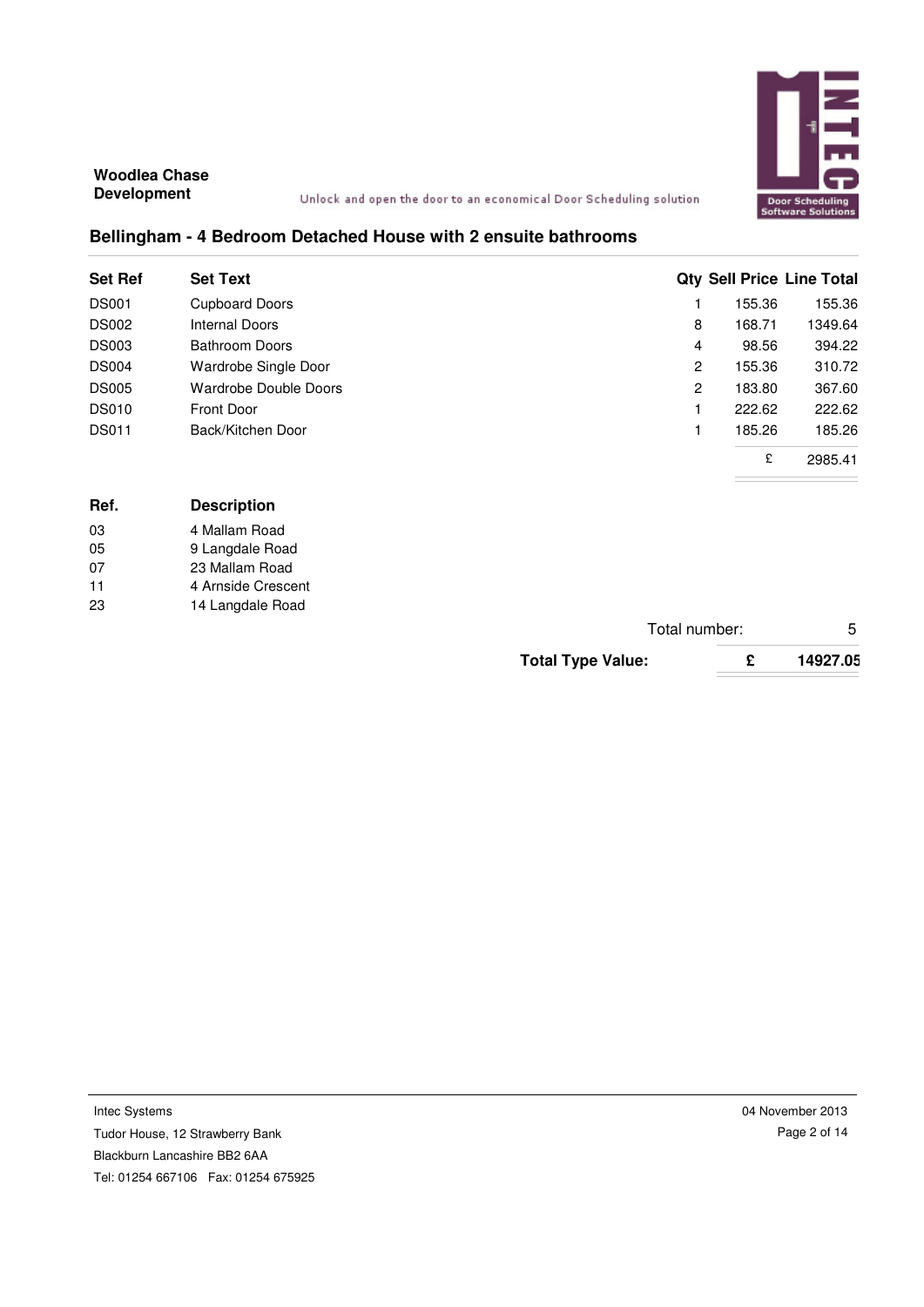

Unlock and open the door to an economical Door Scheduling solution

## **Bellingham - 4 Bedroom Detached House with 2 ensuite bathrooms**

| <b>Set Ref</b> | <b>Set Text</b>       |   |        | <b>Qty Sell Price Line Total</b> |
|----------------|-----------------------|---|--------|----------------------------------|
| <b>DS001</b>   | <b>Cupboard Doors</b> |   | 155.36 | 155.36                           |
| <b>DS002</b>   | Internal Doors        | 8 | 168.71 | 1349.64                          |
| <b>DS003</b>   | <b>Bathroom Doors</b> | 4 | 98.56  | 394.22                           |
| <b>DS004</b>   | Wardrobe Single Door  | 2 | 155.36 | 310.72                           |
| <b>DS005</b>   | Wardrobe Double Doors | 2 | 183.80 | 367.60                           |
| <b>DS010</b>   | Front Door            |   | 222.62 | 222.62                           |
| <b>DS011</b>   | Back/Kitchen Door     |   | 185.26 | 185.26                           |
|                |                       |   | £      | 2985.41                          |

| Ref. | <b>Description</b> |  |  |
|------|--------------------|--|--|
| 03   | 4 Mallam Road      |  |  |
| 05   | 9 Langdale Road    |  |  |
| 07   | 23 Mallam Road     |  |  |
| 11   | 4 Arnside Crescent |  |  |
| 23   | 14 Langdale Road   |  |  |

| Total number:            |          |
|--------------------------|----------|
| <b>Total Type Value:</b> | 14927.05 |

Intec Systems Tudor House, 12 Strawberry Bank Blackburn Lancashire BB2 6AA Tel: 01254 667106 Fax: 01254 675925 04 November 2013 Page 2 of 14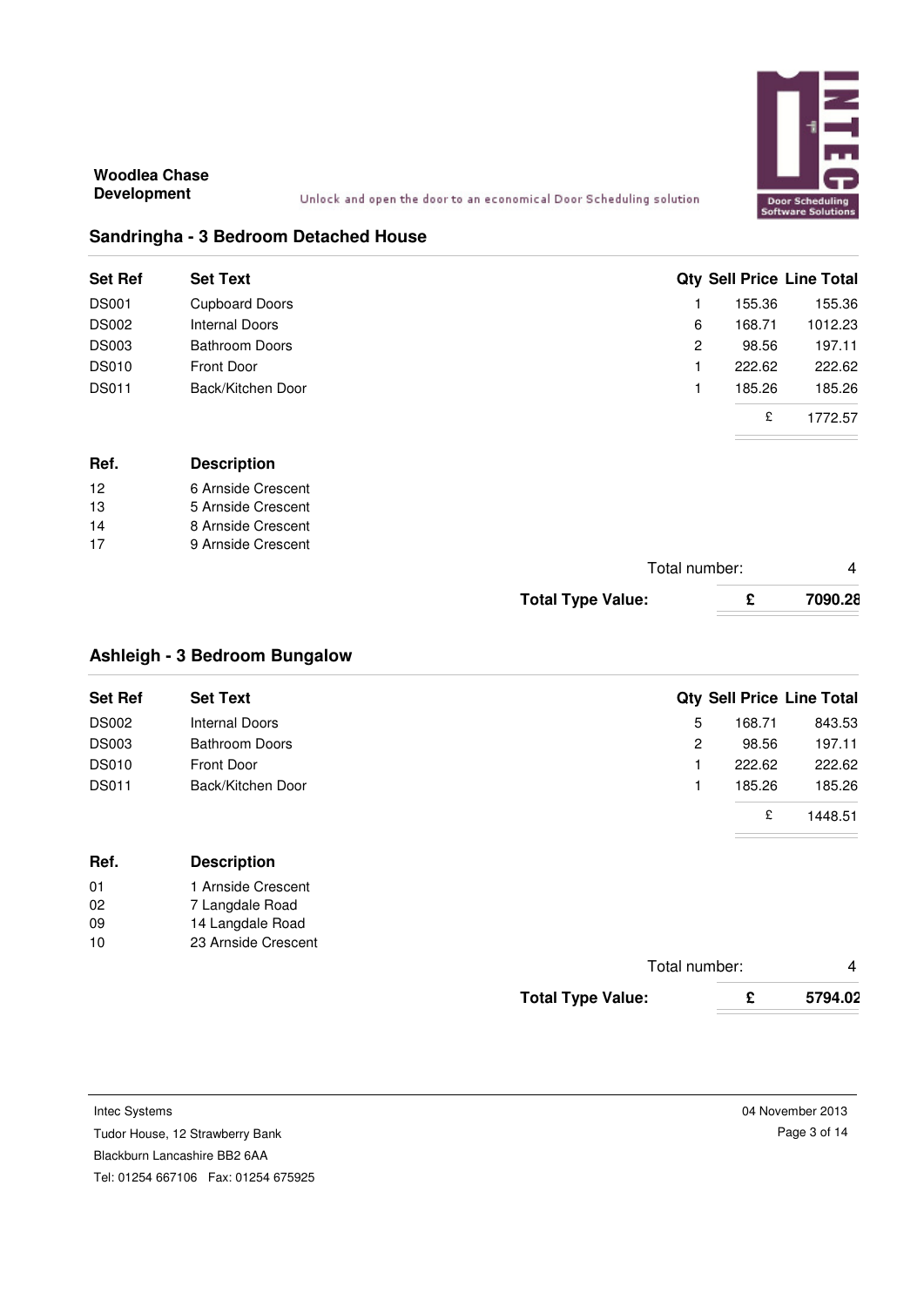

### **Sandringha - 3 Bedroom Detached House**

| <b>Set Ref</b> | <b>Set Text</b>       |   |        | <b>Qty Sell Price Line Total</b> |
|----------------|-----------------------|---|--------|----------------------------------|
| <b>DS001</b>   | <b>Cupboard Doors</b> |   | 155.36 | 155.36                           |
| <b>DS002</b>   | Internal Doors        | 6 | 168.71 | 1012.23                          |
| <b>DS003</b>   | <b>Bathroom Doors</b> | 2 | 98.56  | 197.11                           |
| <b>DS010</b>   | Front Door            |   | 222.62 | 222.62                           |
| <b>DS011</b>   | Back/Kitchen Door     |   | 185.26 | 185.26                           |
|                |                       |   | £      | 1772.57                          |

| Ref. | <b>Description</b> |
|------|--------------------|
| 12   | 6 Arnside Crescent |
| 13   | 5 Arnside Crescent |
| 14   | 8 Arnside Crescent |
| 17   | 9 Arnside Crescent |
|      |                    |

|         | Total number: |                          |
|---------|---------------|--------------------------|
| 7090.28 | c             | <b>Total Type Value:</b> |

## **Ashleigh - 3 Bedroom Bungalow**

| <b>Set Ref</b> | <b>Set Text</b>       |    |        | <b>Qty Sell Price Line Total</b> |
|----------------|-----------------------|----|--------|----------------------------------|
| <b>DS002</b>   | Internal Doors        | 5. | 168.71 | 843.53                           |
| <b>DS003</b>   | <b>Bathroom Doors</b> | 2  | 98.56  | 197.11                           |
| <b>DS010</b>   | Front Door            |    | 222.62 | 222.62                           |
| <b>DS011</b>   | Back/Kitchen Door     |    | 185.26 | 185.26                           |
|                |                       |    | £      | 1448.51                          |

| Ref. | <b>Description</b> |
|------|--------------------|
| 01   | 1 Arnside Crescent |
| 02   | 7 Langdale Road    |

| 09 | 14 Langdale Road    |
|----|---------------------|
| 10 | 23 Arnside Crescent |

| Total number:            |         |
|--------------------------|---------|
| <b>Total Type Value:</b> | 5794.02 |

Intec Systems

Tudor House, 12 Strawberry Bank

Blackburn Lancashire BB2 6AA

Tel: 01254 667106 Fax: 01254 675925

04 November 2013 Page 3 of 14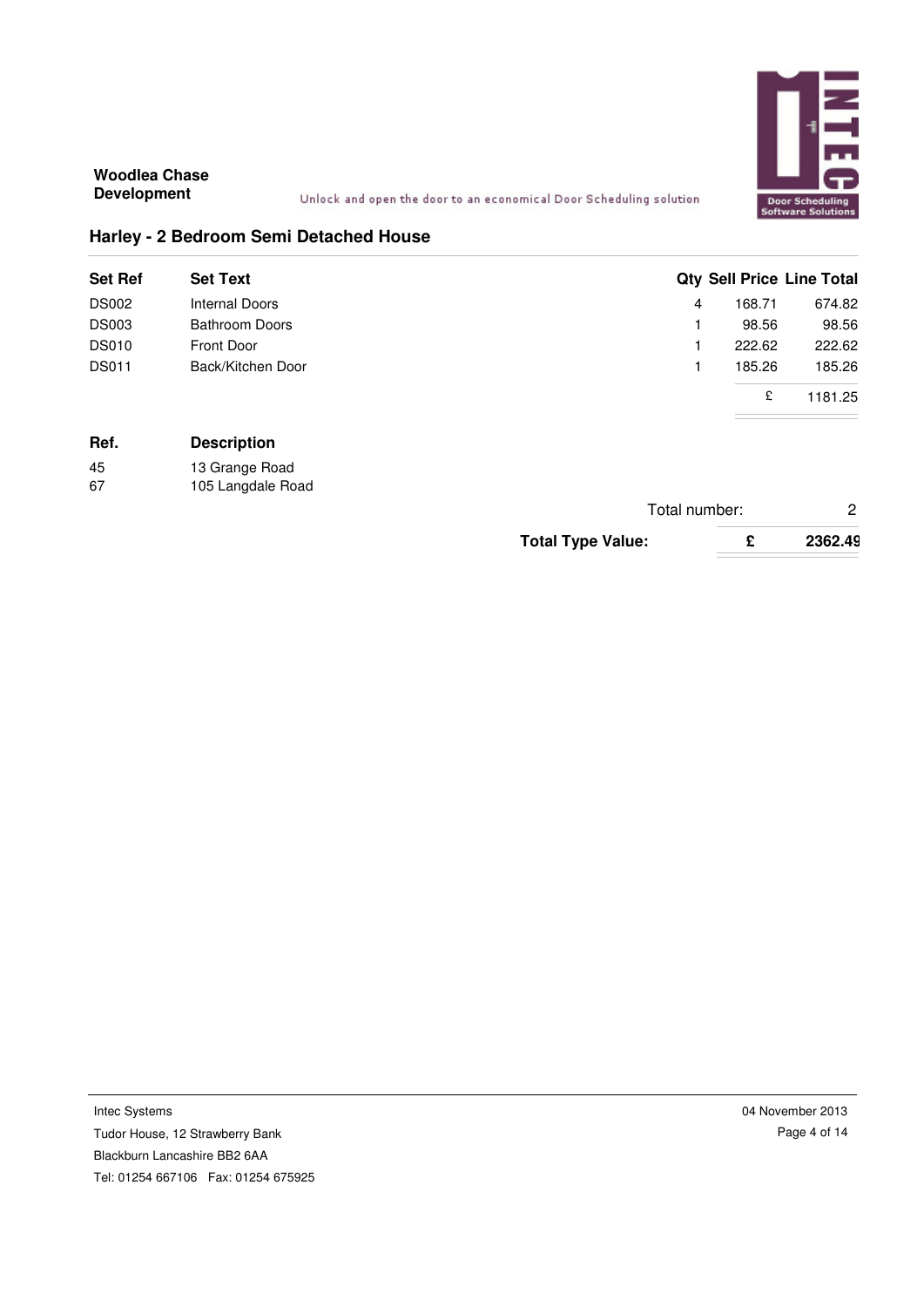

Unlock and open the door to an economical Door Scheduling solution

## **Harley - 2 Bedroom Semi Detached House**

|                 |                                                                            | <b>Qty Sell Price Line Total</b> |
|-----------------|----------------------------------------------------------------------------|----------------------------------|
| 4               | 168.71                                                                     | 674.82                           |
|                 | 98.56                                                                      | 98.56                            |
|                 | 222.62                                                                     | 222.62                           |
|                 | 185.26                                                                     | 185.26                           |
|                 | £                                                                          | 1181.25                          |
| <b>Set Text</b> | Internal Doors<br><b>Bathroom Doors</b><br>Front Door<br>Back/Kitchen Door |                                  |

## **Ref. Description**

| 45 | 13 Grange Road    |
|----|-------------------|
| 67 | 105 Langdale Road |

| Total number:            |   |         |
|--------------------------|---|---------|
| <b>Total Type Value:</b> | £ | 2362.49 |

Intec Systems Tudor House, 12 Strawberry Bank Blackburn Lancashire BB2 6AA Tel: 01254 667106 Fax: 01254 675925 04 November 2013 Page 4 of 14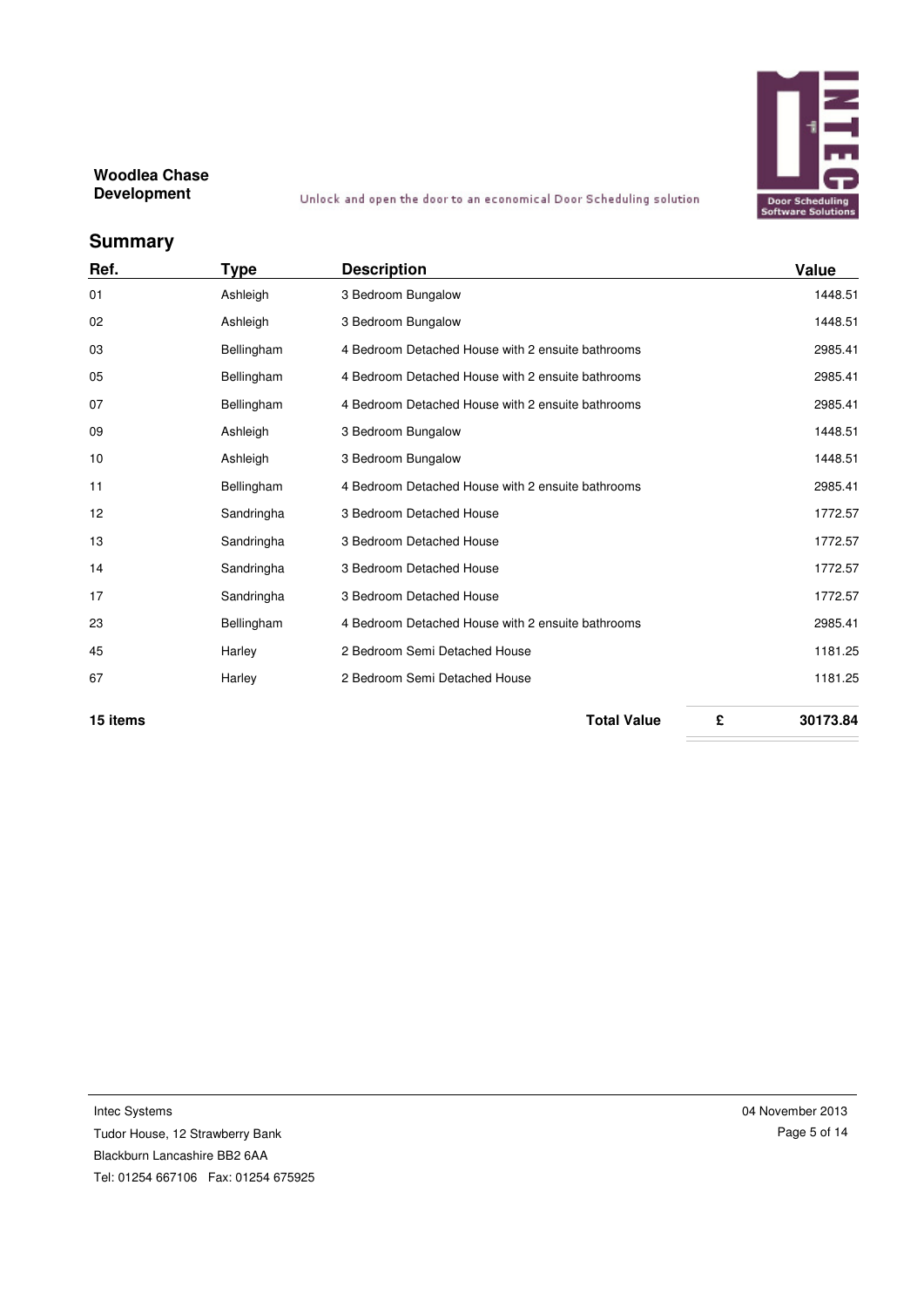

# **Summary**

| Ref. | Type       | <b>Description</b>                                | Value   |
|------|------------|---------------------------------------------------|---------|
| 01   | Ashleigh   | 3 Bedroom Bungalow                                | 1448.51 |
| 02   | Ashleigh   | 3 Bedroom Bungalow                                | 1448.51 |
| 03   | Bellingham | 4 Bedroom Detached House with 2 ensuite bathrooms | 2985.41 |
| 05   | Bellingham | 4 Bedroom Detached House with 2 ensuite bathrooms | 2985.41 |
| 07   | Bellingham | 4 Bedroom Detached House with 2 ensuite bathrooms | 2985.41 |
| 09   | Ashleigh   | 3 Bedroom Bungalow                                | 1448.51 |
| 10   | Ashleigh   | 3 Bedroom Bungalow                                | 1448.51 |
| 11   | Bellingham | 4 Bedroom Detached House with 2 ensuite bathrooms | 2985.41 |
| 12   | Sandringha | 3 Bedroom Detached House                          | 1772.57 |
| 13   | Sandringha | 3 Bedroom Detached House                          | 1772.57 |
| 14   | Sandringha | 3 Bedroom Detached House                          | 1772.57 |
| 17   | Sandringha | 3 Bedroom Detached House                          | 1772.57 |
| 23   | Bellingham | 4 Bedroom Detached House with 2 ensuite bathrooms | 2985.41 |
| 45   | Harley     | 2 Bedroom Semi Detached House                     | 1181.25 |
| 67   | Harley     | 2 Bedroom Semi Detached House                     | 1181.25 |
|      |            |                                                   |         |

**15 items Total Value £ 30173.84**

Intec Systems Tudor House, 12 Strawberry Bank Blackburn Lancashire BB2 6AA Tel: 01254 667106 Fax: 01254 675925 04 November 2013 Page 5 of 14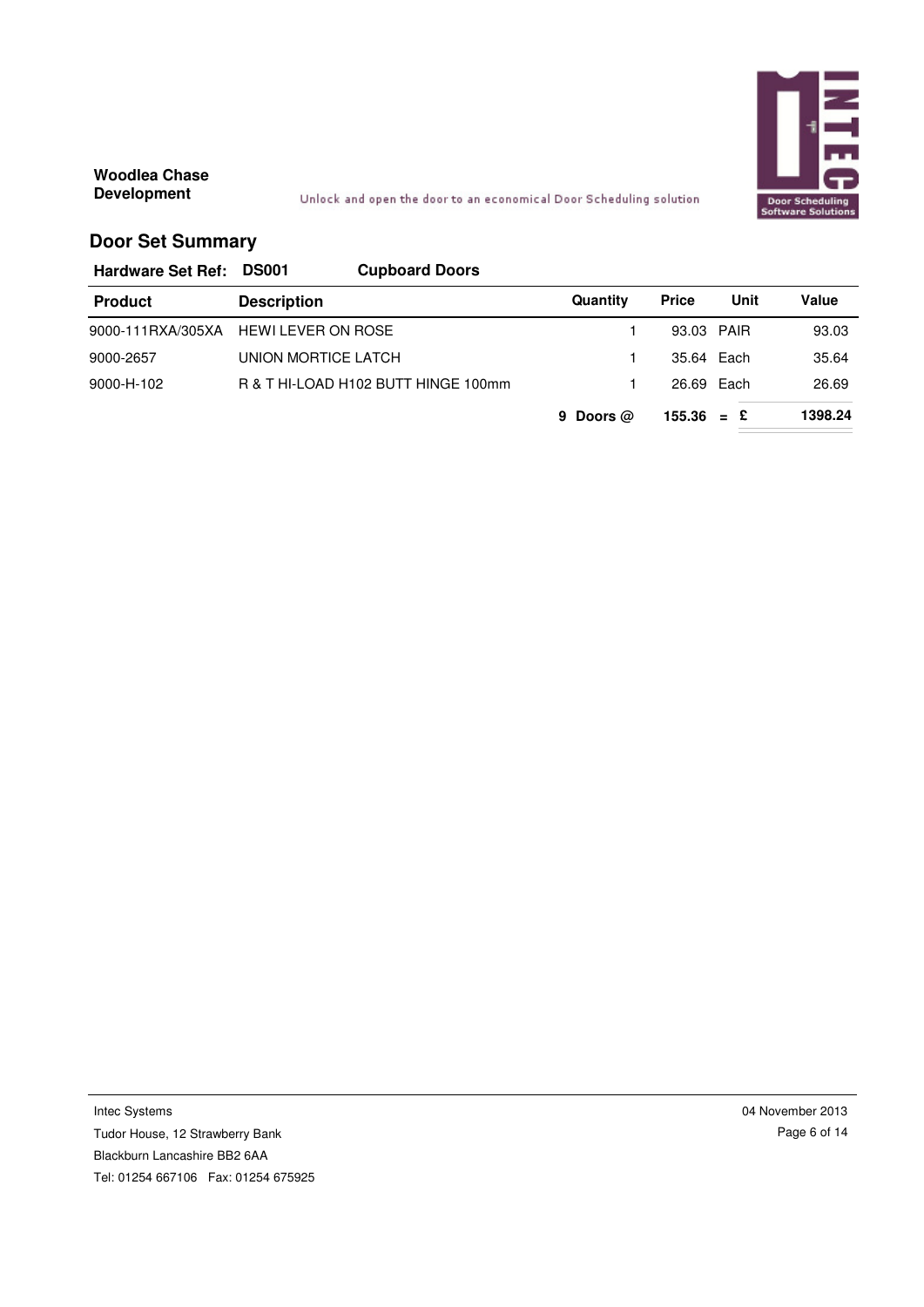

Unlock and open the door to an economical Door Scheduling solution

## **Door Set Summary**

**Hardware Set Ref: DS001 Cupboard Doors**

| <b>Product</b> | <b>Description</b>                  | Quantity    | <b>Price</b> | Unit | Value   |
|----------------|-------------------------------------|-------------|--------------|------|---------|
|                | 9000-111RXA/305XA HEWILEVER ON ROSE |             | 93.03 PAIR   |      | 93.03   |
| 9000-2657      | UNION MORTICE LATCH                 |             | 35.64 Each   |      | 35.64   |
| 9000-H-102     | R & T HI-LOAD H102 BUTT HINGE 100mm |             | 26.69 Each   |      | 26.69   |
|                |                                     | 9 Doors $@$ | $155.36 = E$ |      | 1398.24 |

Intec Systems Tudor House, 12 Strawberry Bank Blackburn Lancashire BB2 6AA Tel: 01254 667106 Fax: 01254 675925 04 November 2013 Page 6 of 14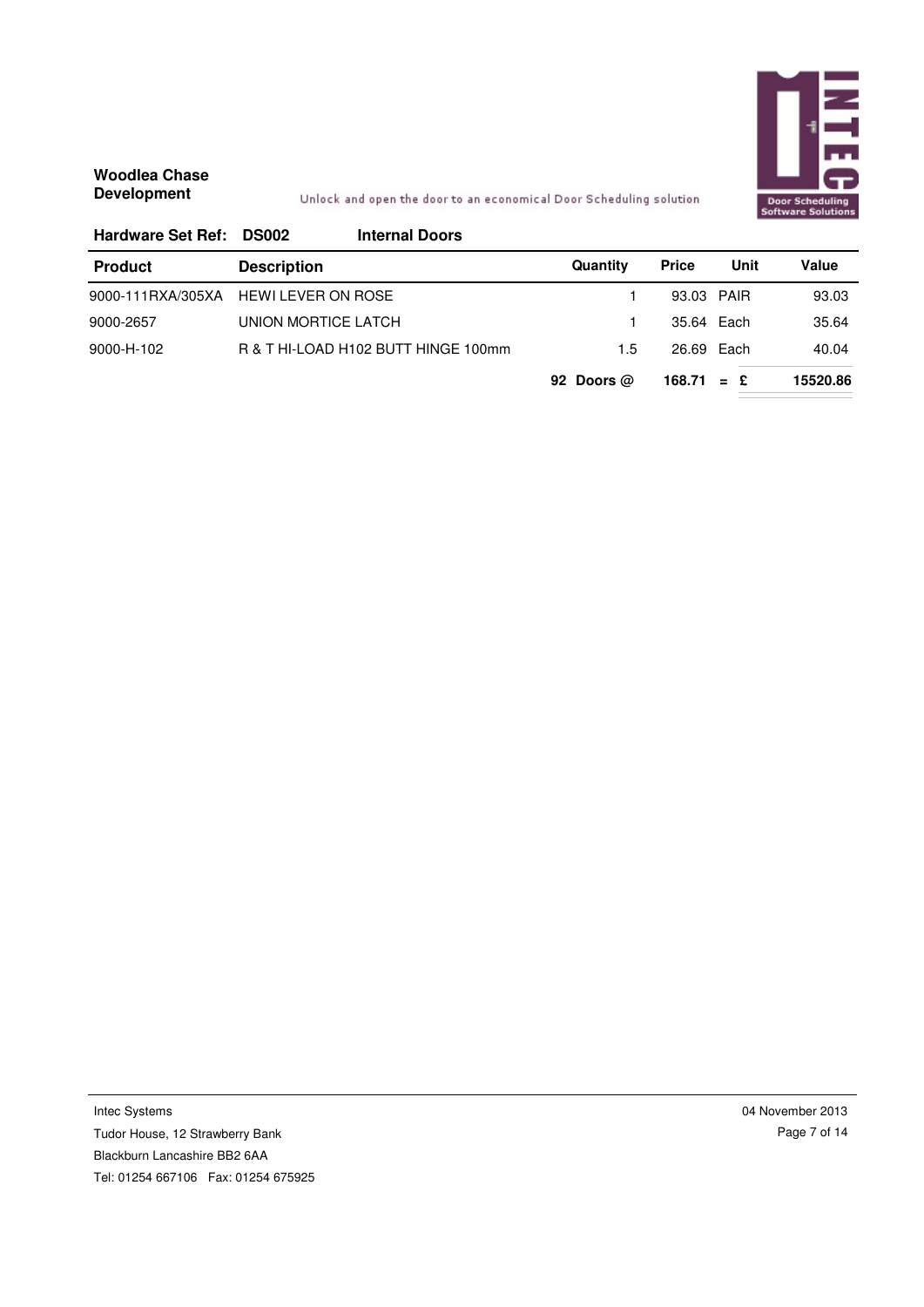

### Unlock and open the door to an economical Door Scheduling solution

| Hardware Set Ref: DS002 |                           | <b>Internal Doors</b>               |              |              |               |          |
|-------------------------|---------------------------|-------------------------------------|--------------|--------------|---------------|----------|
| <b>Product</b>          | <b>Description</b>        |                                     | Quantity     | <b>Price</b> | Unit          | Value    |
| 9000-111RXA/305XA       | <b>HEWI LEVER ON ROSE</b> |                                     |              | 93.03 PAIR   |               | 93.03    |
| 9000-2657               | UNION MORTICE LATCH       |                                     |              | 35.64 Each   |               | 35.64    |
| 9000-H-102              |                           | R & T HI-LOAD H102 BUTT HINGE 100mm | 1.5          | 26.69 Each   |               | 40.04    |
|                         |                           |                                     | 92 Doors $@$ | 168.71       | £<br>$\equiv$ | 15520.86 |

Intec Systems Tudor House, 12 Strawberry Bank Blackburn Lancashire BB2 6AA Tel: 01254 667106 Fax: 01254 675925 04 November 2013 Page 7 of 14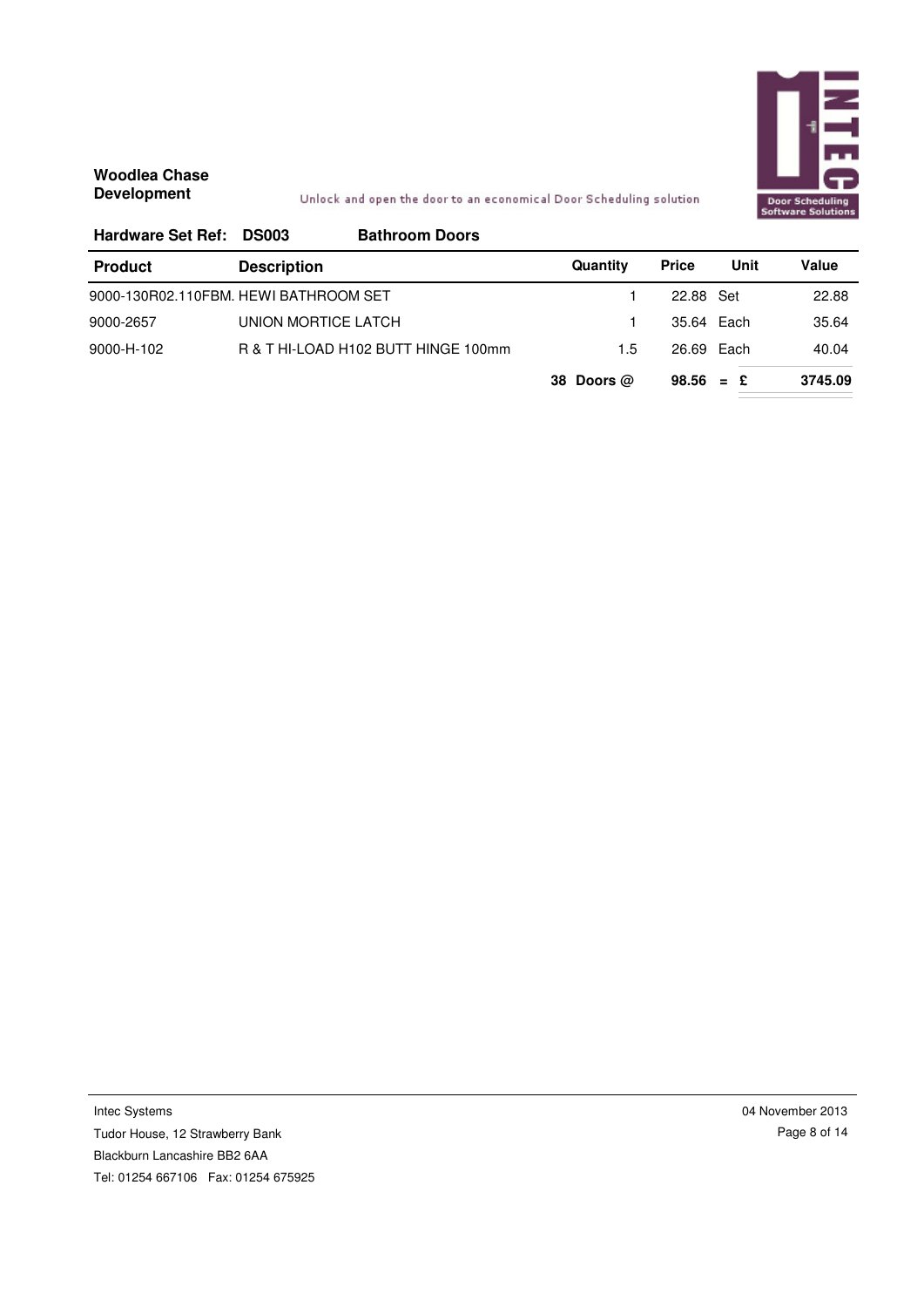

Unlock and open the door to an economical Door Scheduling solution

| <b>Hardware Set Ref:</b>              | <b>DS003</b>        | <b>Bathroom Doors</b>               |              |              |      |         |
|---------------------------------------|---------------------|-------------------------------------|--------------|--------------|------|---------|
| <b>Product</b>                        | <b>Description</b>  |                                     | Quantity     | <b>Price</b> | Unit | Value   |
| 9000-130R02.110FBM. HEWI BATHROOM SET |                     |                                     |              | 22.88 Set    |      | 22.88   |
| 9000-2657                             | UNION MORTICE LATCH |                                     |              | 35.64 Each   |      | 35.64   |
| 9000-H-102                            |                     | R & T HI-LOAD H102 BUTT HINGE 100mm | 1.5          | 26.69 Each   |      | 40.04   |
|                                       |                     |                                     | 38 Doors $@$ | $98.56 = £$  |      | 3745.09 |

Intec Systems Tudor House, 12 Strawberry Bank Blackburn Lancashire BB2 6AA Tel: 01254 667106 Fax: 01254 675925 04 November 2013 Page 8 of 14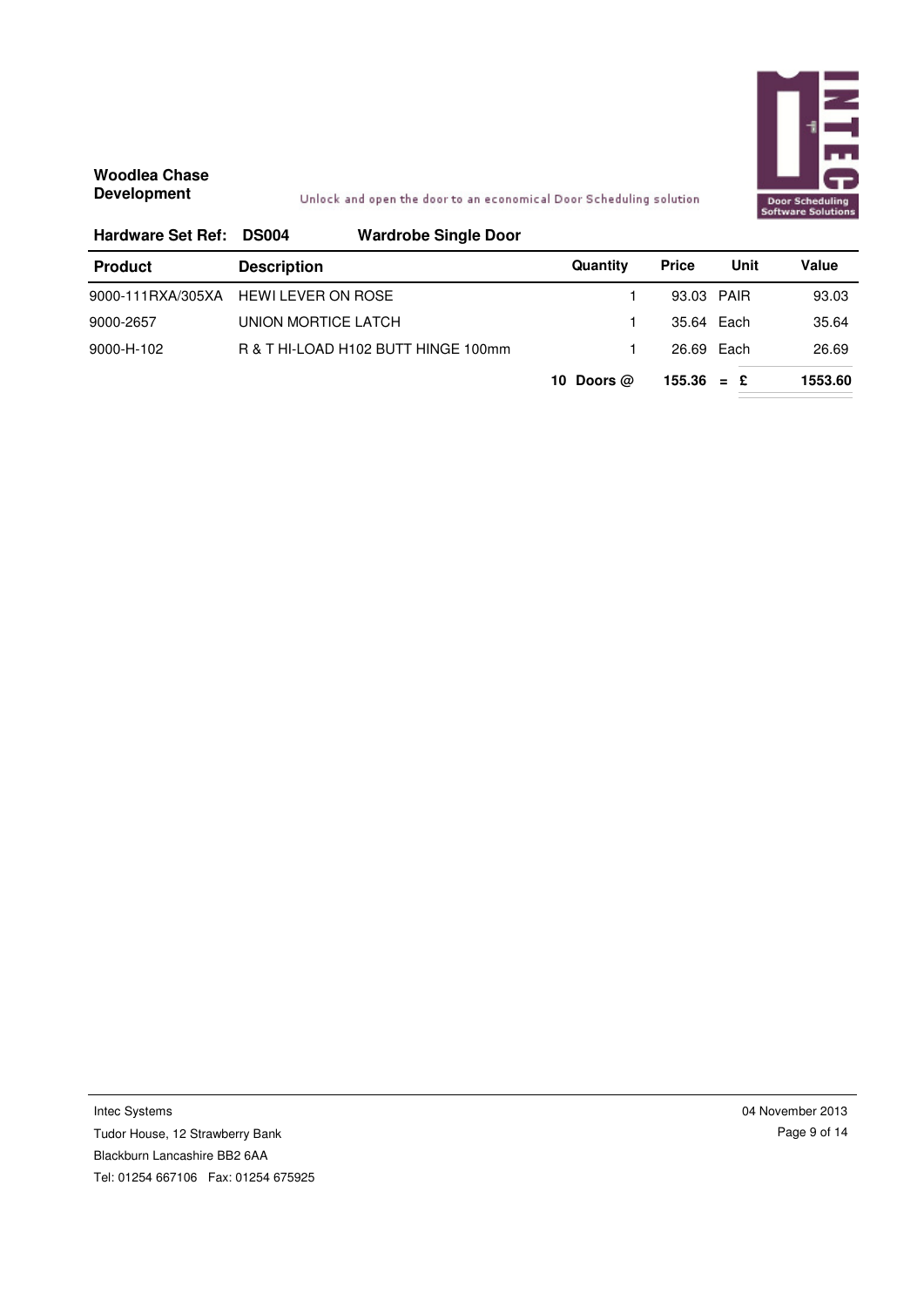

Unlock and open the door to an economical Door Scheduling solution

| <b>Hardware Set Ref:</b> | <b>DS004</b>              | <b>Wardrobe Single Door</b>         |              |              |            |         |
|--------------------------|---------------------------|-------------------------------------|--------------|--------------|------------|---------|
| <b>Product</b>           | <b>Description</b>        |                                     | Quantity     | <b>Price</b> | Unit       | Value   |
| 9000-111RXA/305XA        | <b>HEWI LEVER ON ROSE</b> |                                     |              |              | 93.03 PAIR | 93.03   |
| 9000-2657                | UNION MORTICE LATCH       |                                     |              | 35.64 Each   |            | 35.64   |
| 9000-H-102               |                           | R & T HI-LOAD H102 BUTT HINGE 100mm |              |              | 26.69 Each | 26.69   |
|                          |                           |                                     | 10 Doors $@$ | $155.36 = £$ |            | 1553.60 |

Intec Systems

Tudor House, 12 Strawberry Bank Blackburn Lancashire BB2 6AA Tel: 01254 667106 Fax: 01254 675925 04 November 2013 Page 9 of 14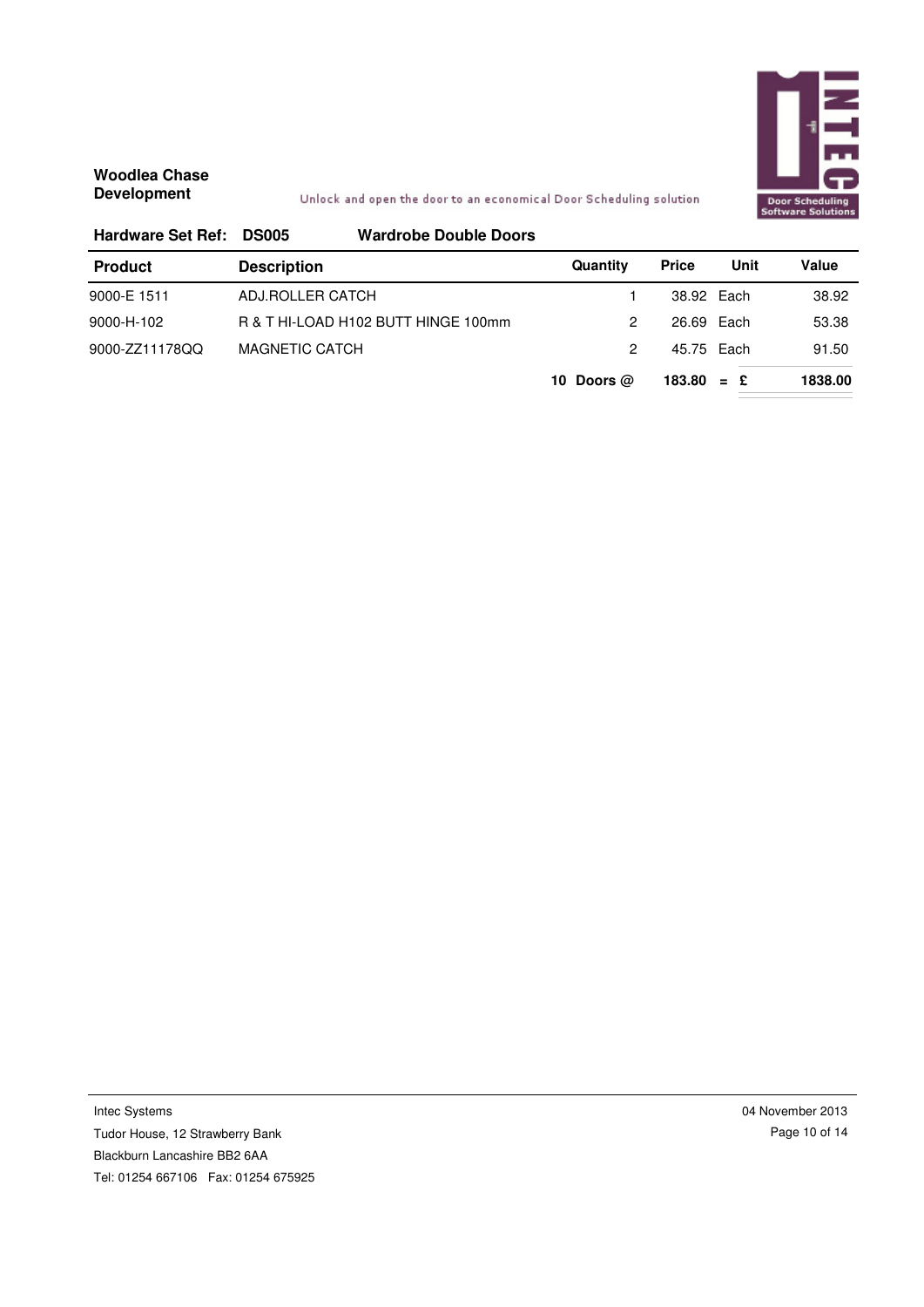

#### Unlock and open the door to an economical Door Scheduling solution

| <b>Hardware Set Ref:</b> | <b>DS005</b>       | <b>Wardrobe Double Doors</b>        |              |              |       |         |
|--------------------------|--------------------|-------------------------------------|--------------|--------------|-------|---------|
| <b>Product</b>           | <b>Description</b> |                                     | Quantity     | <b>Price</b> | Unit  | Value   |
| 9000-E 1511              | ADJ.ROLLER CATCH   |                                     |              | 38.92 Each   |       | 38.92   |
| 9000-H-102               |                    | R & T HI-LOAD H102 BUTT HINGE 100mm | 2            | 26.69 Each   |       | 53.38   |
| 9000-ZZ11178QQ           | MAGNETIC CATCH     |                                     | 2            | 45.75 Each   |       | 91.50   |
|                          |                    |                                     | 10 Doors $@$ | 183.80       | $=$ £ | 1838.00 |

Intec Systems Tudor House, 12 Strawberry Bank Blackburn Lancashire BB2 6AA Tel: 01254 667106 Fax: 01254 675925 04 November 2013 Page 10 of 14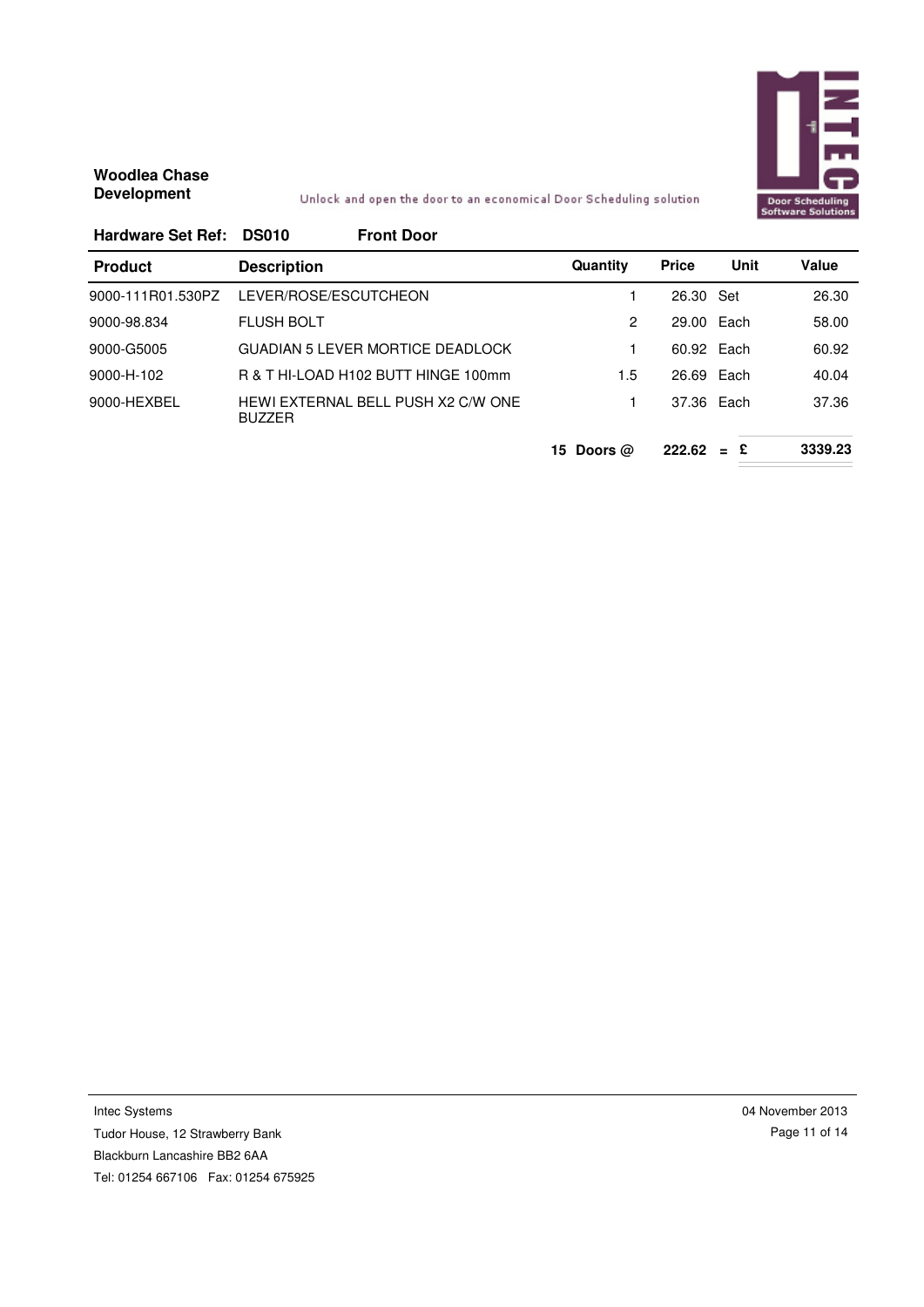

#### Unlock and open the door to an economical Door Scheduling solution

| Hardware Set Ref: DS010 | <b>Front Door</b>                                   |                  |              |       |              |
|-------------------------|-----------------------------------------------------|------------------|--------------|-------|--------------|
| <b>Product</b>          | <b>Description</b>                                  | Quantity         | <b>Price</b> | Unit  | <b>Value</b> |
| 9000-111R01.530PZ       | LEVER/ROSE/ESCUTCHEON                               |                  | 26.30 Set    |       | 26.30        |
| 9000-98.834             | <b>FLUSH BOLT</b>                                   | 2                | 29.00 Each   |       | 58.00        |
| 9000-G5005              | GUADIAN 5 LEVER MORTICE DEADI OCK                   |                  | 60.92 Each   |       | 60.92        |
| 9000-H-102              | R & T HI-I OAD H102 BUTT HINGE 100mm                | 1.5              | 26.69 Each   |       | 40.04        |
| 9000-HEXBEL             | HEWI EXTERNAL BELL PUSH X2 C/W ONE<br><b>BUZZER</b> |                  | 37.36 Each   |       | 37.36        |
|                         |                                                     | Doors $@$<br>15. | 222.62       | $=$ £ | 3339.23      |

Intec Systems Tudor House, 12 Strawberry Bank Blackburn Lancashire BB2 6AA Tel: 01254 667106 Fax: 01254 675925 04 November 2013 Page 11 of 14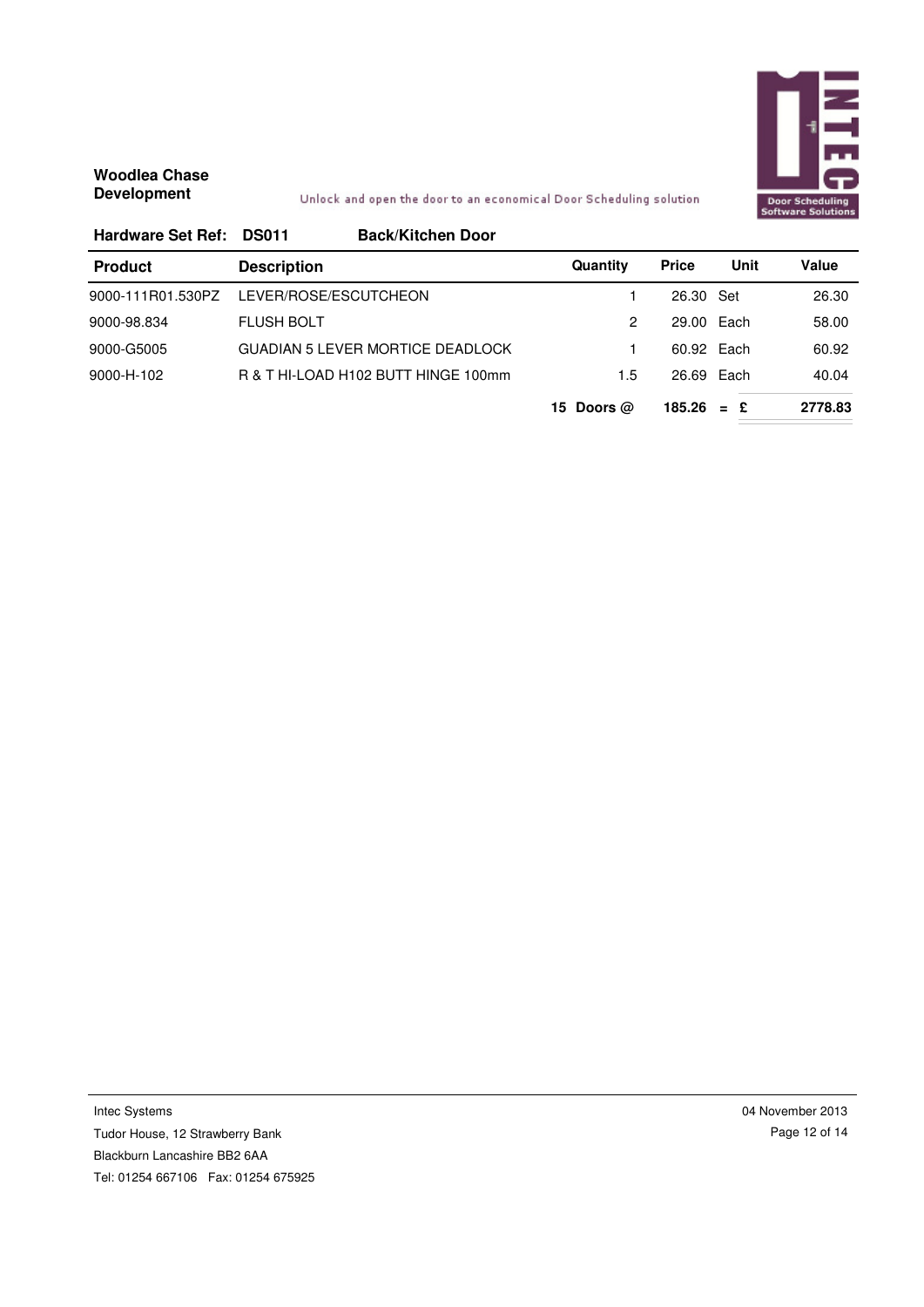

Unlock and open the door to an economical Door Scheduling solution

| Hardware Set Ref: DS011 | <b>Back/Kitchen Door</b>                |              |              |      |         |
|-------------------------|-----------------------------------------|--------------|--------------|------|---------|
| <b>Product</b>          | <b>Description</b>                      | Quantity     | <b>Price</b> | Unit | Value   |
| 9000-111R01.530PZ       | LEVER/ROSE/ESCUTCHEON                   |              | 26.30 Set    |      | 26.30   |
| 9000-98.834             | <b>FLUSH BOLT</b>                       | 2            | 29.00 Each   |      | 58.00   |
| 9000-G5005              | <b>GUADIAN 5 LEVER MORTICE DEADLOCK</b> |              | 60.92 Each   |      | 60.92   |
| 9000-H-102              | R & T HI-LOAD H102 BUTT HINGE 100mm     | 1.5          | 26.69 Each   |      | 40.04   |
|                         |                                         | 15 Doors $@$ | $185.26 = E$ |      | 2778.83 |

Intec Systems Tudor House, 12 Strawberry Bank Blackburn Lancashire BB2 6AA Tel: 01254 667106 Fax: 01254 675925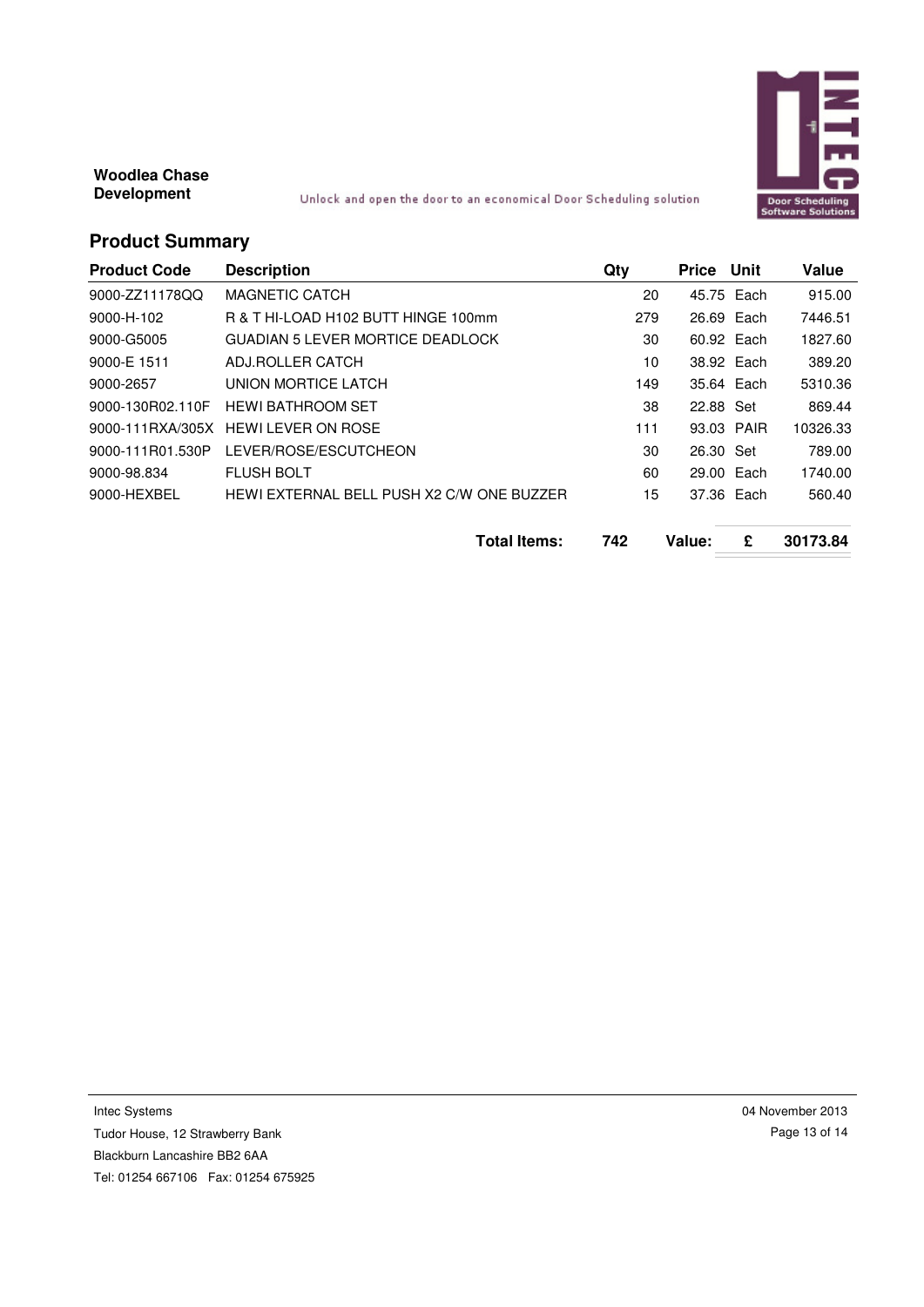

Unlock and open the door to an economical Door Scheduling solution

# **Product Summary**

| <b>Product Code</b> | <b>Description</b>                        | Qty | Price Unit |            | Value    |
|---------------------|-------------------------------------------|-----|------------|------------|----------|
| 9000-ZZ11178QQ      | <b>MAGNETIC CATCH</b>                     | 20  |            | 45.75 Each | 915.00   |
| 9000-H-102          | R & T HI-LOAD H102 BUTT HINGE 100mm       | 279 |            | 26.69 Each | 7446.51  |
| 9000-G5005          | <b>GUADIAN 5 LEVER MORTICE DEADLOCK</b>   | 30  |            | 60.92 Each | 1827.60  |
| 9000-E 1511         | ADJ.ROLLER CATCH                          | 10  |            | 38.92 Each | 389.20   |
| 9000-2657           | UNION MORTICE LATCH                       | 149 |            | 35.64 Each | 5310.36  |
| 9000-130R02.110F    | <b>HEWI BATHROOM SET</b>                  | 38  | 22.88 Set  |            | 869.44   |
| 9000-111RXA/305X    | <b>HEWI LEVER ON ROSE</b>                 | 111 |            | 93.03 PAIR | 10326.33 |
| 9000-111R01.530P    | LEVER/ROSE/ESCUTCHEON                     | 30  | 26.30 Set  |            | 789.00   |
| 9000-98.834         | <b>FLUSH BOLT</b>                         | 60  |            | 29.00 Each | 1740.00  |
| 9000-HEXBEL         | HEWI EXTERNAL BELL PUSH X2 C/W ONE BUZZER | 15  |            | 37.36 Each | 560.40   |
|                     | <b>Total Items:</b>                       | 742 | Value:     | £          | 30173.84 |

Intec Systems

Tudor House, 12 Strawberry Bank Blackburn Lancashire BB2 6AA Tel: 01254 667106 Fax: 01254 675925 04 November 2013 Page 13 of 14